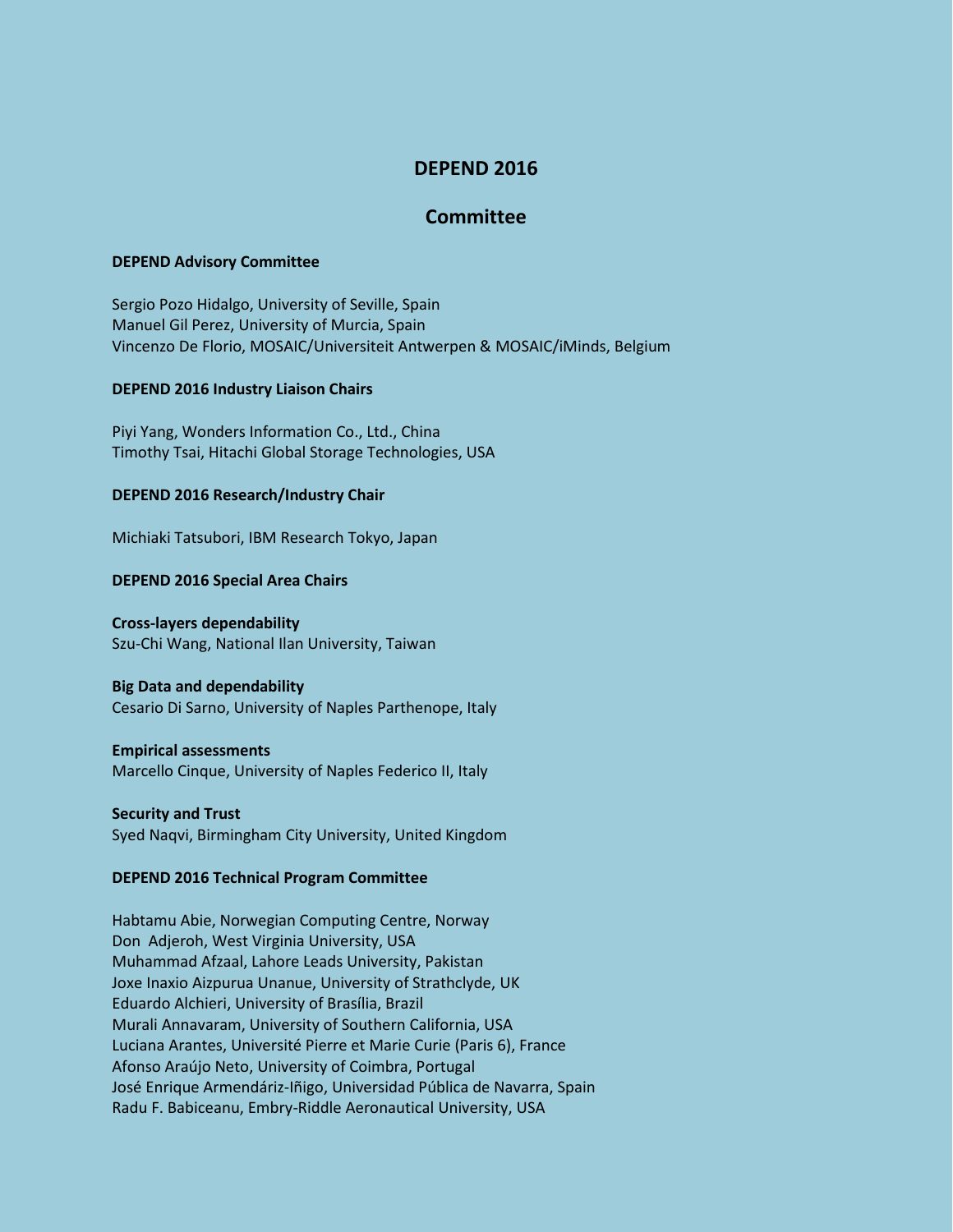# **DEPEND 2016**

## **Committee**

### **DEPEND Advisory Committee**

Sergio Pozo Hidalgo, University of Seville, Spain Manuel Gil Perez, University of Murcia, Spain Vincenzo De Florio, MOSAIC/Universiteit Antwerpen & MOSAIC/iMinds, Belgium

## **DEPEND 2016 Industry Liaison Chairs**

Piyi Yang, Wonders Information Co., Ltd., China Timothy Tsai, Hitachi Global Storage Technologies, USA

## **DEPEND 2016 Research/Industry Chair**

Michiaki Tatsubori, IBM Research Tokyo, Japan

#### **DEPEND 2016 Special Area Chairs**

#### **Cross-layers dependability**

Szu-Chi Wang, National Ilan University, Taiwan

## **Big Data and dependability**

Cesario Di Sarno, University of Naples Parthenope, Italy

#### **Empirical assessments**

Marcello Cinque, University of Naples Federico II, Italy

## **Security and Trust** Syed Naqvi, Birmingham City University, United Kingdom

## **DEPEND 2016 Technical Program Committee**

Habtamu Abie, Norwegian Computing Centre, Norway Don Adjeroh, West Virginia University, USA Muhammad Afzaal, Lahore Leads University, Pakistan Joxe Inaxio Aizpurua Unanue, University of Strathclyde, UK Eduardo Alchieri, University of Brasília, Brazil Murali Annavaram, University of Southern California, USA Luciana Arantes, Université Pierre et Marie Curie (Paris 6), France Afonso Araújo Neto, University of Coimbra, Portugal José Enrique Armendáriz-Iñigo, Universidad Pública de Navarra, Spain Radu F. Babiceanu, Embry-Riddle Aeronautical University, USA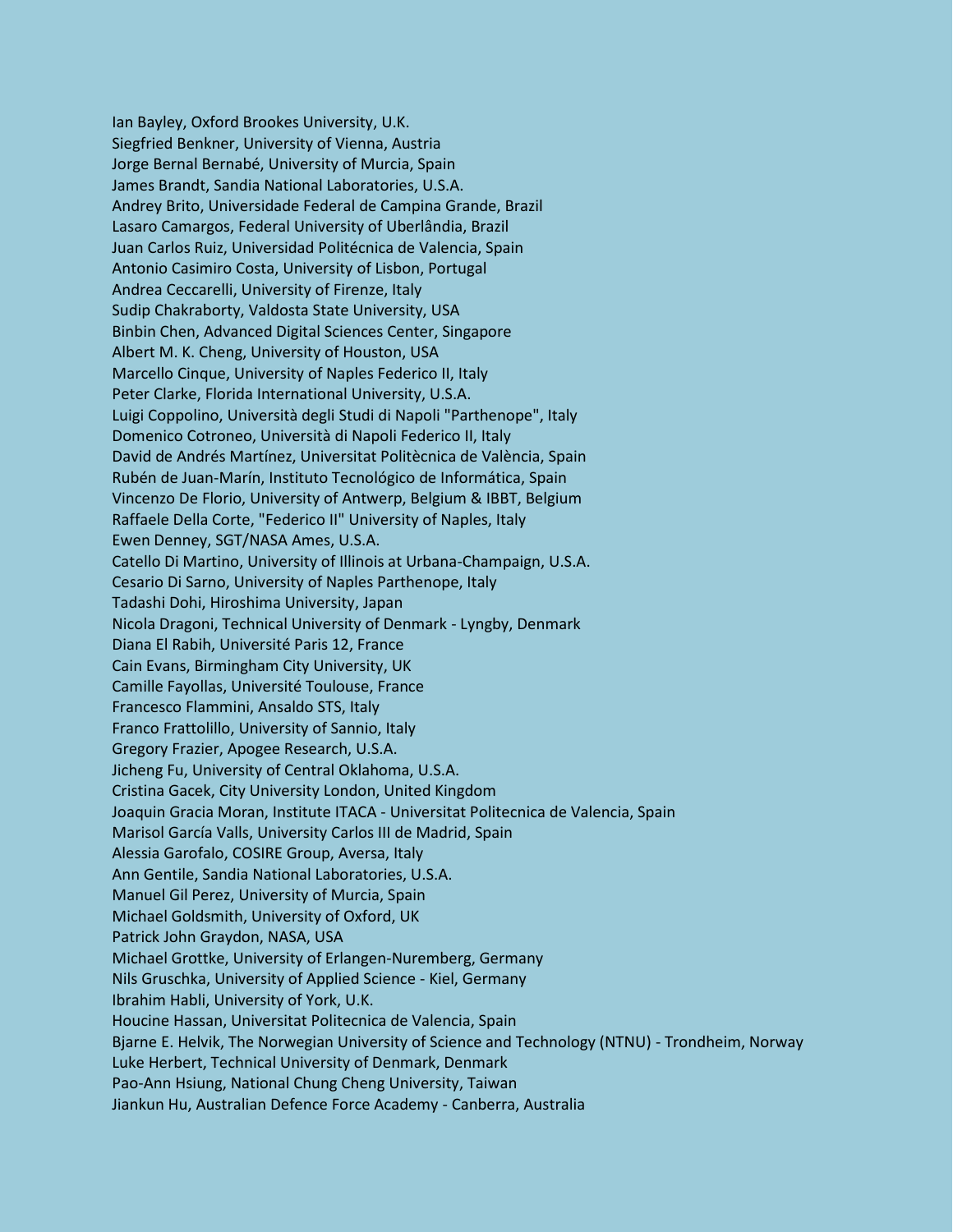Ian Bayley, Oxford Brookes University, U.K. Siegfried Benkner, University of Vienna, Austria Jorge Bernal Bernabé, University of Murcia, Spain James Brandt, Sandia National Laboratories, U.S.A. Andrey Brito, Universidade Federal de Campina Grande, Brazil Lasaro Camargos, Federal University of Uberlândia, Brazil Juan Carlos Ruiz, Universidad Politécnica de Valencia, Spain Antonio Casimiro Costa, University of Lisbon, Portugal Andrea Ceccarelli, University of Firenze, Italy Sudip Chakraborty, Valdosta State University, USA Binbin Chen, Advanced Digital Sciences Center, Singapore Albert M. K. Cheng, University of Houston, USA Marcello Cinque, University of Naples Federico II, Italy Peter Clarke, Florida International University, U.S.A. Luigi Coppolino, Università degli Studi di Napoli "Parthenope", Italy Domenico Cotroneo, Università di Napoli Federico II, Italy David de Andrés Martínez, Universitat Politècnica de València, Spain Rubén de Juan-Marín, Instituto Tecnológico de Informática, Spain Vincenzo De Florio, University of Antwerp, Belgium & IBBT, Belgium Raffaele Della Corte, "Federico II" University of Naples, Italy Ewen Denney, SGT/NASA Ames, U.S.A. Catello Di Martino, University of Illinois at Urbana-Champaign, U.S.A. Cesario Di Sarno, University of Naples Parthenope, Italy Tadashi Dohi, Hiroshima University, Japan Nicola Dragoni, Technical University of Denmark - Lyngby, Denmark Diana El Rabih, Université Paris 12, France Cain Evans, Birmingham City University, UK Camille Fayollas, Université Toulouse, France Francesco Flammini, Ansaldo STS, Italy Franco Frattolillo, University of Sannio, Italy Gregory Frazier, Apogee Research, U.S.A. Jicheng Fu, University of Central Oklahoma, U.S.A. Cristina Gacek, City University London, United Kingdom Joaquin Gracia Moran, Institute ITACA - Universitat Politecnica de Valencia, Spain Marisol García Valls, University Carlos III de Madrid, Spain Alessia Garofalo, COSIRE Group, Aversa, Italy Ann Gentile, Sandia National Laboratories, U.S.A. Manuel Gil Perez, University of Murcia, Spain Michael Goldsmith, University of Oxford, UK Patrick John Graydon, NASA, USA Michael Grottke, University of Erlangen-Nuremberg, Germany Nils Gruschka, University of Applied Science - Kiel, Germany Ibrahim Habli, University of York, U.K. Houcine Hassan, Universitat Politecnica de Valencia, Spain Bjarne E. Helvik, The Norwegian University of Science and Technology (NTNU) - Trondheim, Norway Luke Herbert, Technical University of Denmark, Denmark Pao-Ann Hsiung, National Chung Cheng University, Taiwan Jiankun Hu, Australian Defence Force Academy - Canberra, Australia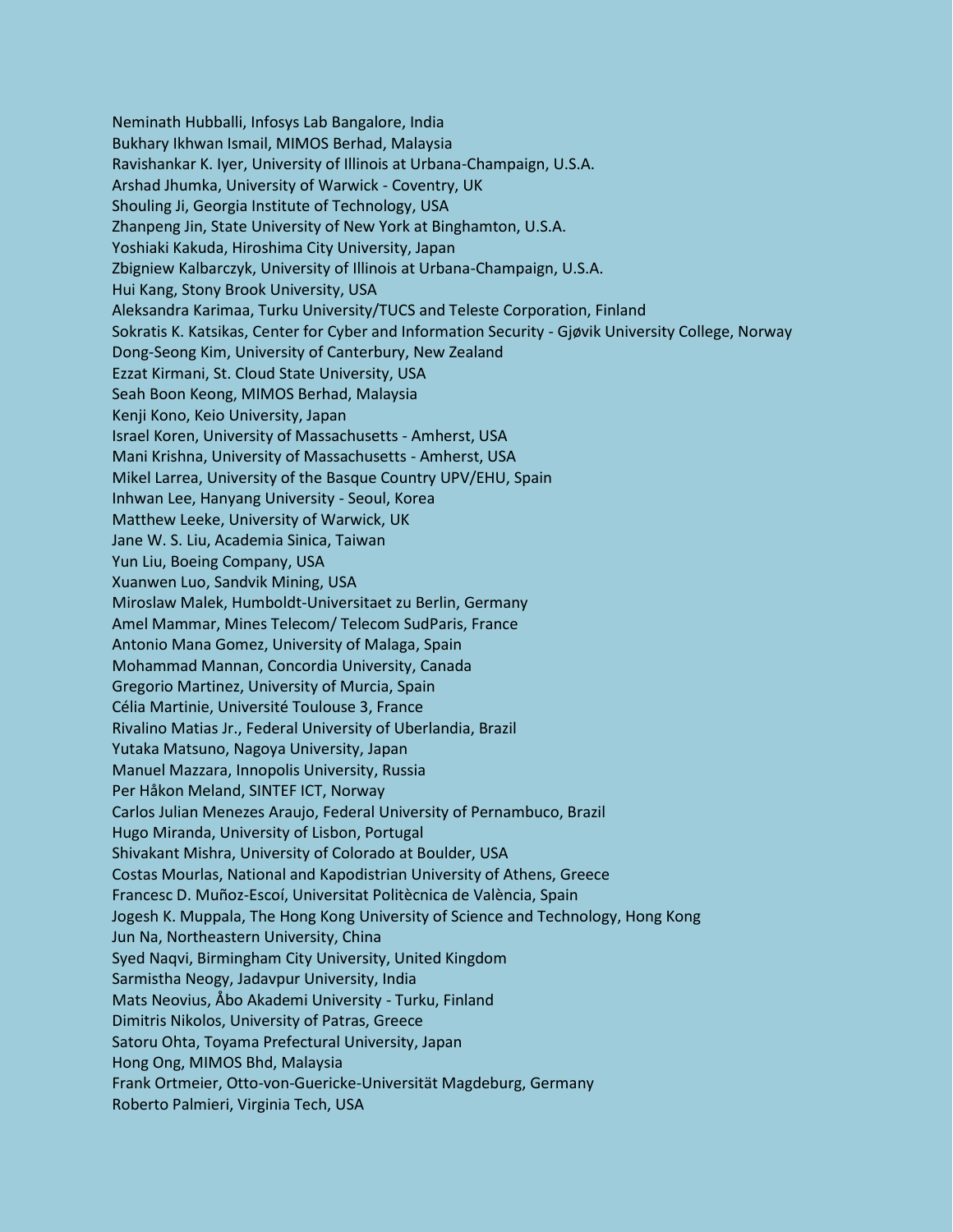Neminath Hubballi, Infosys Lab Bangalore, India Bukhary Ikhwan Ismail, MIMOS Berhad, Malaysia Ravishankar K. Iyer, University of Illinois at Urbana-Champaign, U.S.A. Arshad Jhumka, University of Warwick - Coventry, UK Shouling Ji, Georgia Institute of Technology, USA Zhanpeng Jin, State University of New York at Binghamton, U.S.A. Yoshiaki Kakuda, Hiroshima City University, Japan Zbigniew Kalbarczyk, University of Illinois at Urbana-Champaign, U.S.A. Hui Kang, Stony Brook University, USA Aleksandra Karimaa, Turku University/TUCS and Teleste Corporation, Finland Sokratis K. Katsikas, Center for Cyber and Information Security - Gjøvik University College, Norway Dong-Seong Kim, University of Canterbury, New Zealand Ezzat Kirmani, St. Cloud State University, USA Seah Boon Keong, MIMOS Berhad, Malaysia Kenji Kono, Keio University, Japan Israel Koren, University of Massachusetts - Amherst, USA Mani Krishna, University of Massachusetts - Amherst, USA Mikel Larrea, University of the Basque Country UPV/EHU, Spain Inhwan Lee, Hanyang University - Seoul, Korea Matthew Leeke, University of Warwick, UK Jane W. S. Liu, Academia Sinica, Taiwan Yun Liu, Boeing Company, USA Xuanwen Luo, Sandvik Mining, USA Miroslaw Malek, Humboldt-Universitaet zu Berlin, Germany Amel Mammar, Mines Telecom/ Telecom SudParis, France Antonio Mana Gomez, University of Malaga, Spain Mohammad Mannan, Concordia University, Canada Gregorio Martinez, University of Murcia, Spain Célia Martinie, Université Toulouse 3, France Rivalino Matias Jr., Federal University of Uberlandia, Brazil Yutaka Matsuno, Nagoya University, Japan Manuel Mazzara, Innopolis University, Russia Per Håkon Meland, SINTEF ICT, Norway Carlos Julian Menezes Araujo, Federal University of Pernambuco, Brazil Hugo Miranda, University of Lisbon, Portugal Shivakant Mishra, University of Colorado at Boulder, USA Costas Mourlas, National and Kapodistrian University of Athens, Greece Francesc D. Muñoz-Escoí, Universitat Politècnica de València, Spain Jogesh K. Muppala, The Hong Kong University of Science and Technology, Hong Kong Jun Na, Northeastern University, China Syed Naqvi, Birmingham City University, United Kingdom Sarmistha Neogy, Jadavpur University, India Mats Neovius, Åbo Akademi University - Turku, Finland Dimitris Nikolos, University of Patras, Greece Satoru Ohta, Toyama Prefectural University, Japan Hong Ong, MIMOS Bhd, Malaysia Frank Ortmeier, Otto-von-Guericke-Universität Magdeburg, Germany Roberto Palmieri, Virginia Tech, USA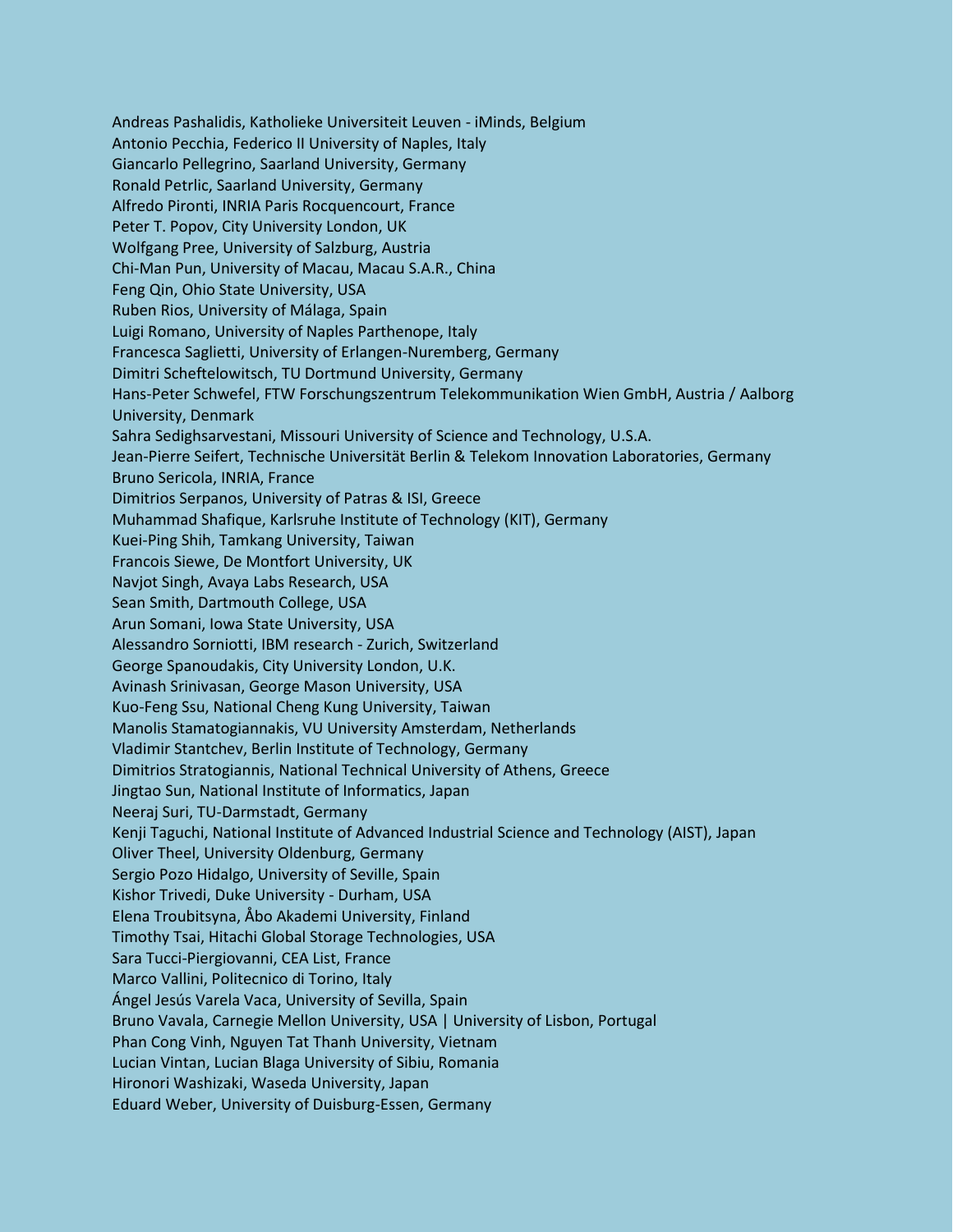Andreas Pashalidis, Katholieke Universiteit Leuven - iMinds, Belgium Antonio Pecchia, Federico II University of Naples, Italy Giancarlo Pellegrino, Saarland University, Germany Ronald Petrlic, Saarland University, Germany Alfredo Pironti, INRIA Paris Rocquencourt, France Peter T. Popov, City University London, UK Wolfgang Pree, University of Salzburg, Austria Chi-Man Pun, University of Macau, Macau S.A.R., China Feng Qin, Ohio State University, USA Ruben Rios, University of Málaga, Spain Luigi Romano, University of Naples Parthenope, Italy Francesca Saglietti, University of Erlangen-Nuremberg, Germany Dimitri Scheftelowitsch, TU Dortmund University, Germany Hans-Peter Schwefel, FTW Forschungszentrum Telekommunikation Wien GmbH, Austria / Aalborg University, Denmark Sahra Sedighsarvestani, Missouri University of Science and Technology, U.S.A. Jean-Pierre Seifert, Technische Universität Berlin & Telekom Innovation Laboratories, Germany Bruno Sericola, INRIA, France Dimitrios Serpanos, University of Patras & ISI, Greece Muhammad Shafique, Karlsruhe Institute of Technology (KIT), Germany Kuei-Ping Shih, Tamkang University, Taiwan Francois Siewe, De Montfort University, UK Navjot Singh, Avaya Labs Research, USA Sean Smith, Dartmouth College, USA Arun Somani, Iowa State University, USA Alessandro Sorniotti, IBM research - Zurich, Switzerland George Spanoudakis, City University London, U.K. Avinash Srinivasan, George Mason University, USA Kuo-Feng Ssu, National Cheng Kung University, Taiwan Manolis Stamatogiannakis, VU University Amsterdam, Netherlands Vladimir Stantchev, Berlin Institute of Technology, Germany Dimitrios Stratogiannis, National Technical University of Athens, Greece Jingtao Sun, National Institute of Informatics, Japan Neeraj Suri, TU-Darmstadt, Germany Kenji Taguchi, National Institute of Advanced Industrial Science and Technology (AIST), Japan Oliver Theel, University Oldenburg, Germany Sergio Pozo Hidalgo, University of Seville, Spain Kishor Trivedi, Duke University - Durham, USA Elena Troubitsyna, Åbo Akademi University, Finland Timothy Tsai, Hitachi Global Storage Technologies, USA Sara Tucci-Piergiovanni, CEA List, France Marco Vallini, Politecnico di Torino, Italy Ángel Jesús Varela Vaca, University of Sevilla, Spain Bruno Vavala, Carnegie Mellon University, USA | University of Lisbon, Portugal Phan Cong Vinh, Nguyen Tat Thanh University, Vietnam Lucian Vintan, Lucian Blaga University of Sibiu, Romania Hironori Washizaki, Waseda University, Japan Eduard Weber, University of Duisburg-Essen, Germany